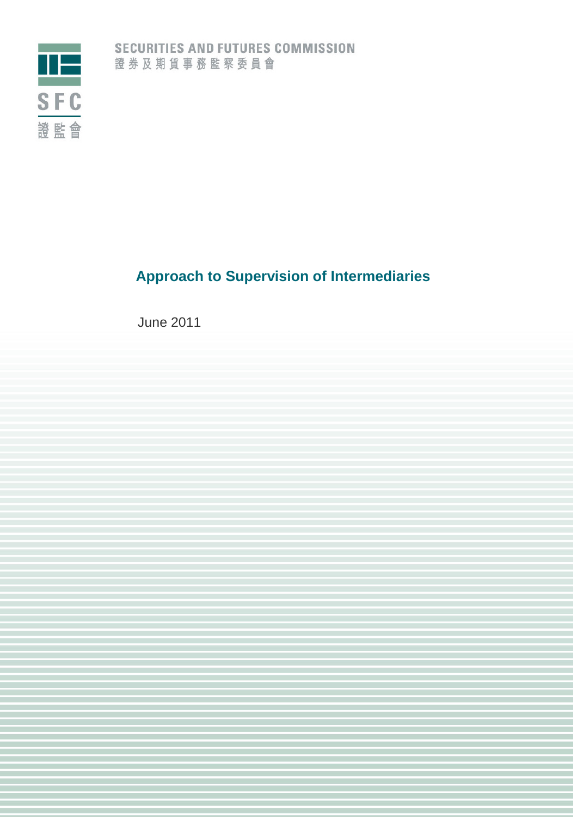

# **Approach to Supervision of Intermediaries**

June 2011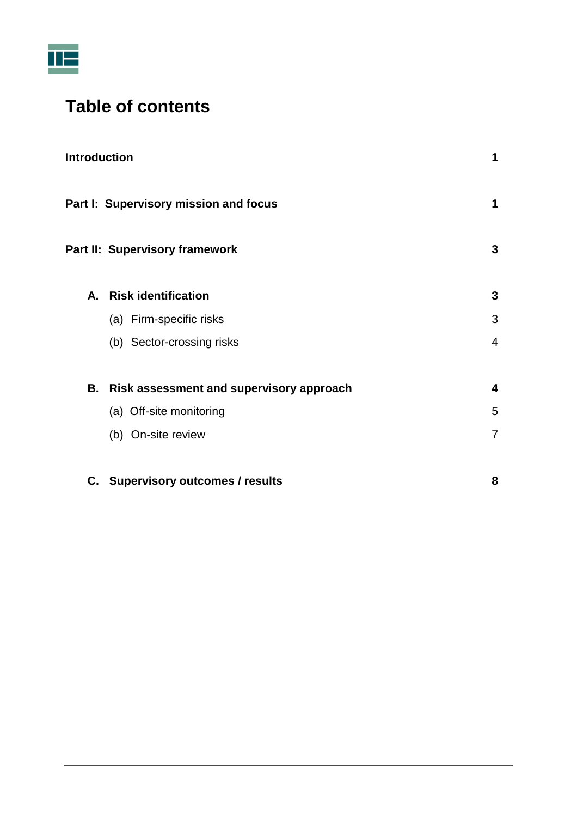

# **Table of contents**

| <b>Introduction</b> |                                             | 1              |
|---------------------|---------------------------------------------|----------------|
|                     | Part I: Supervisory mission and focus       | 1              |
|                     | Part II: Supervisory framework              | 3              |
|                     | A. Risk identification                      | 3              |
|                     | (a) Firm-specific risks                     | 3              |
|                     | (b) Sector-crossing risks                   | 4              |
|                     | B. Risk assessment and supervisory approach | 4              |
|                     | (a) Off-site monitoring                     | 5              |
|                     | (b) On-site review                          | $\overline{7}$ |
|                     | C. Supervisory outcomes / results           | 8              |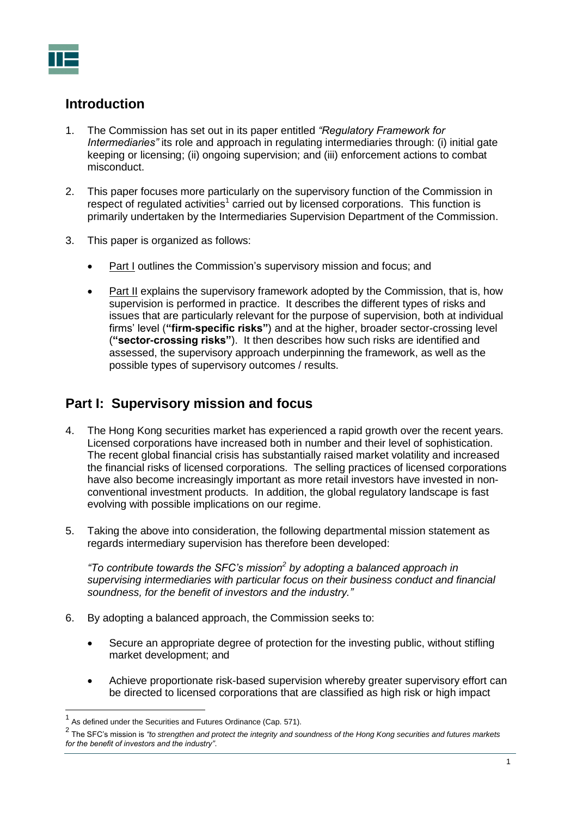

# <span id="page-2-0"></span>**Introduction**

- 1. The Commission has set out in its paper entitled *"Regulatory Framework for Intermediaries"* its role and approach in regulating intermediaries through: (i) initial gate keeping or licensing; (ii) ongoing supervision; and (iii) enforcement actions to combat misconduct.
- 2. This paper focuses more particularly on the supervisory function of the Commission in respect of regulated activities<sup>1</sup> carried out by licensed corporations. This function is primarily undertaken by the Intermediaries Supervision Department of the Commission.
- 3. This paper is organized as follows:
	- Part I outlines the Commission's supervisory mission and focus; and
	- Part II explains the supervisory framework adopted by the Commission, that is, how supervision is performed in practice. It describes the different types of risks and issues that are particularly relevant for the purpose of supervision, both at individual firms' level (**"firm-specific risks"**) and at the higher, broader sector-crossing level (**"sector-crossing risks"**). It then describes how such risks are identified and assessed, the supervisory approach underpinning the framework, as well as the possible types of supervisory outcomes / results.

# <span id="page-2-1"></span>**Part I: Supervisory mission and focus**

- 4. The Hong Kong securities market has experienced a rapid growth over the recent years. Licensed corporations have increased both in number and their level of sophistication. The recent global financial crisis has substantially raised market volatility and increased the financial risks of licensed corporations. The selling practices of licensed corporations have also become increasingly important as more retail investors have invested in nonconventional investment products. In addition, the global regulatory landscape is fast evolving with possible implications on our regime.
- 5. Taking the above into consideration, the following departmental mission statement as regards intermediary supervision has therefore been developed:

*"To contribute towards the SFC's mission<sup>2</sup> by adopting a balanced approach in supervising intermediaries with particular focus on their business conduct and financial soundness, for the benefit of investors and the industry."*

- 6. By adopting a balanced approach, the Commission seeks to:
	- Secure an appropriate degree of protection for the investing public, without stifling market development; and
	- Achieve proportionate risk-based supervision whereby greater supervisory effort can be directed to licensed corporations that are classified as high risk or high impact

<sup>1</sup> As defined under the Securities and Futures Ordinance (Cap. 571).

<sup>2</sup> The SFC's mission is *"to strengthen and protect the integrity and soundness of the Hong Kong securities and futures markets for the benefit of investors and the industry"*.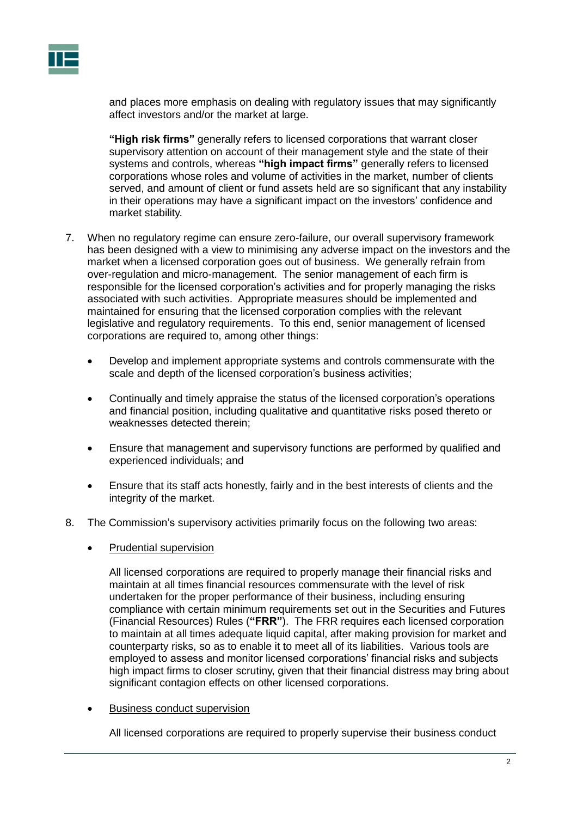

and places more emphasis on dealing with regulatory issues that may significantly affect investors and/or the market at large.

**"High risk firms"** generally refers to licensed corporations that warrant closer supervisory attention on account of their management style and the state of their systems and controls, whereas **"high impact firms"** generally refers to licensed corporations whose roles and volume of activities in the market, number of clients served, and amount of client or fund assets held are so significant that any instability in their operations may have a significant impact on the investors' confidence and market stability.

- 7. When no regulatory regime can ensure zero-failure, our overall supervisory framework has been designed with a view to minimising any adverse impact on the investors and the market when a licensed corporation goes out of business. We generally refrain from over-regulation and micro-management. The senior management of each firm is responsible for the licensed corporation's activities and for properly managing the risks associated with such activities. Appropriate measures should be implemented and maintained for ensuring that the licensed corporation complies with the relevant legislative and regulatory requirements. To this end, senior management of licensed corporations are required to, among other things:
	- Develop and implement appropriate systems and controls commensurate with the scale and depth of the licensed corporation's business activities;
	- Continually and timely appraise the status of the licensed corporation's operations and financial position, including qualitative and quantitative risks posed thereto or weaknesses detected therein;
	- Ensure that management and supervisory functions are performed by qualified and experienced individuals; and
	- Ensure that its staff acts honestly, fairly and in the best interests of clients and the integrity of the market.
- 8. The Commission's supervisory activities primarily focus on the following two areas:
	- Prudential supervision

All licensed corporations are required to properly manage their financial risks and maintain at all times financial resources commensurate with the level of risk undertaken for the proper performance of their business, including ensuring compliance with certain minimum requirements set out in the Securities and Futures (Financial Resources) Rules (**"FRR"**). The FRR requires each licensed corporation to maintain at all times adequate liquid capital, after making provision for market and counterparty risks, so as to enable it to meet all of its liabilities. Various tools are employed to assess and monitor licensed corporations' financial risks and subjects high impact firms to closer scrutiny, given that their financial distress may bring about significant contagion effects on other licensed corporations.

Business conduct supervision

All licensed corporations are required to properly supervise their business conduct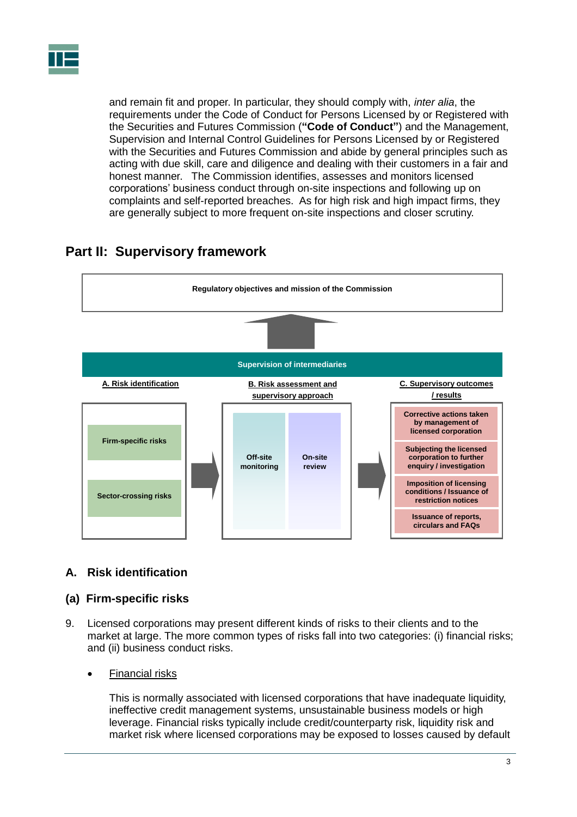

and remain fit and proper. In particular, they should comply with, *inter alia*, the requirements under the Code of Conduct for Persons Licensed by or Registered with the Securities and Futures Commission (**"Code of Conduct"**) and the Management, Supervision and Internal Control Guidelines for Persons Licensed by or Registered with the Securities and Futures Commission and abide by general principles such as acting with due skill, care and diligence and dealing with their customers in a fair and honest manner. The Commission identifies, assesses and monitors licensed corporations' business conduct through on-site inspections and following up on complaints and self-reported breaches. As for high risk and high impact firms, they are generally subject to more frequent on-site inspections and closer scrutiny.

#### **Off-site monitoring B. Risk assessment and supervisory approach Firm-specific risks Sector-crossing risks Supervision of intermediaries Regulatory objectives and mission of the Commission A. Risk identification Corrective actions taken by management of licensed corporation Subjecting the licensed corporation to further enquiry / investigation C. Supervisory outcomes / results On-site review Imposition of licensing conditions / Issuance of restriction notices Issuance of reports, circulars and FAQs**

# <span id="page-4-0"></span>**Part II: Supervisory framework**

# <span id="page-4-1"></span>**A. Risk identification**

## <span id="page-4-2"></span>**(a) Firm-specific risks**

9. Licensed corporations may present different kinds of risks to their clients and to the market at large. The more common types of risks fall into two categories: (i) financial risks; and (ii) business conduct risks.

## Financial risks

This is normally associated with licensed corporations that have inadequate liquidity, ineffective credit management systems, unsustainable business models or high leverage. Financial risks typically include credit/counterparty risk, liquidity risk and market risk where licensed corporations may be exposed to losses caused by default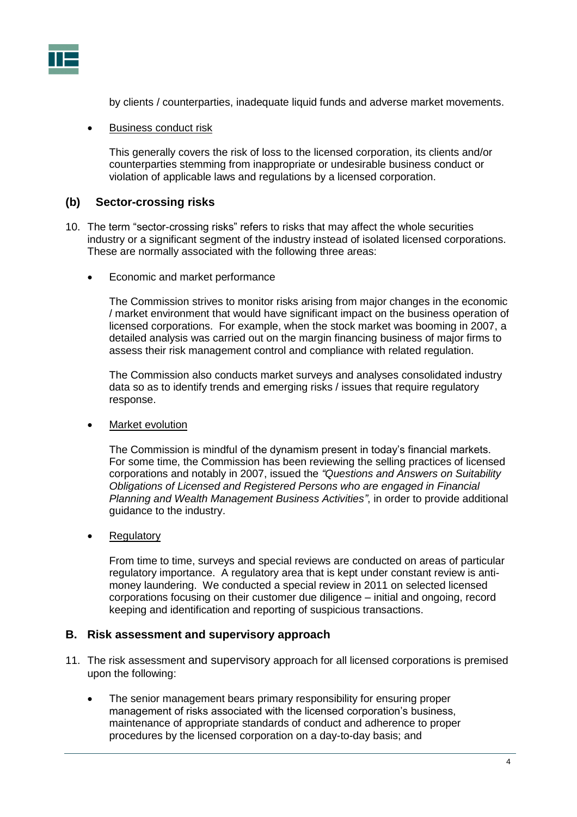

by clients / counterparties, inadequate liquid funds and adverse market movements.

#### Business conduct risk

This generally covers the risk of loss to the licensed corporation, its clients and/or counterparties stemming from inappropriate or undesirable business conduct or violation of applicable laws and regulations by a licensed corporation.

### <span id="page-5-0"></span>**(b) Sector-crossing risks**

- 10. The term "sector-crossing risks" refers to risks that may affect the whole securities industry or a significant segment of the industry instead of isolated licensed corporations. These are normally associated with the following three areas:
	- Economic and market performance

The Commission strives to monitor risks arising from major changes in the economic / market environment that would have significant impact on the business operation of licensed corporations. For example, when the stock market was booming in 2007, a detailed analysis was carried out on the margin financing business of major firms to assess their risk management control and compliance with related regulation.

The Commission also conducts market surveys and analyses consolidated industry data so as to identify trends and emerging risks / issues that require regulatory response.

Market evolution

The Commission is mindful of the dynamism present in today's financial markets. For some time, the Commission has been reviewing the selling practices of licensed corporations and notably in 2007, issued the *"Questions and Answers on Suitability Obligations of Licensed and Registered Persons who are engaged in Financial Planning and Wealth Management Business Activities"*, in order to provide additional guidance to the industry.

**Regulatory** 

From time to time, surveys and special reviews are conducted on areas of particular regulatory importance. A regulatory area that is kept under constant review is antimoney laundering. We conducted a special review in 2011 on selected licensed corporations focusing on their customer due diligence – initial and ongoing, record keeping and identification and reporting of suspicious transactions.

#### <span id="page-5-1"></span>**B. Risk assessment and supervisory approach**

- 11. The risk assessment and supervisory approach for all licensed corporations is premised upon the following:
	- The senior management bears primary responsibility for ensuring proper management of risks associated with the licensed corporation's business, maintenance of appropriate standards of conduct and adherence to proper procedures by the licensed corporation on a day-to-day basis; and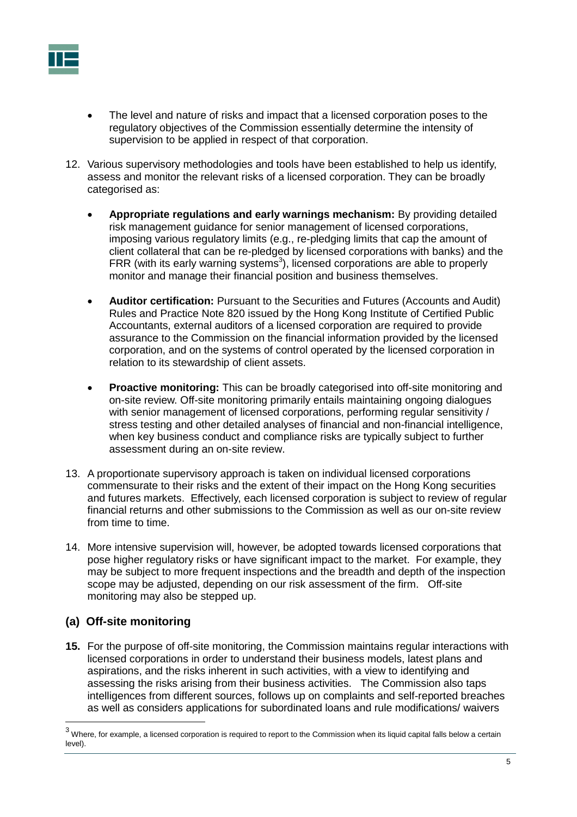

- The level and nature of risks and impact that a licensed corporation poses to the regulatory objectives of the Commission essentially determine the intensity of supervision to be applied in respect of that corporation.
- 12. Various supervisory methodologies and tools have been established to help us identify, assess and monitor the relevant risks of a licensed corporation. They can be broadly categorised as:
	- **Appropriate regulations and early warnings mechanism:** By providing detailed risk management guidance for senior management of licensed corporations, imposing various regulatory limits (e.g., re-pledging limits that cap the amount of client collateral that can be re-pledged by licensed corporations with banks) and the FRR (with its early warning systems<sup>3</sup>), licensed corporations are able to properly monitor and manage their financial position and business themselves.
	- **Auditor certification:** Pursuant to the Securities and Futures (Accounts and Audit) Rules and Practice Note 820 issued by the Hong Kong Institute of Certified Public Accountants, external auditors of a licensed corporation are required to provide assurance to the Commission on the financial information provided by the licensed corporation, and on the systems of control operated by the licensed corporation in relation to its stewardship of client assets.
	- **Proactive monitoring:** This can be broadly categorised into off-site monitoring and on-site review. Off-site monitoring primarily entails maintaining ongoing dialogues with senior management of licensed corporations, performing regular sensitivity / stress testing and other detailed analyses of financial and non-financial intelligence, when key business conduct and compliance risks are typically subject to further assessment during an on-site review.
- 13. A proportionate supervisory approach is taken on individual licensed corporations commensurate to their risks and the extent of their impact on the Hong Kong securities and futures markets. Effectively, each licensed corporation is subject to review of regular financial returns and other submissions to the Commission as well as our on-site review from time to time.
- 14. More intensive supervision will, however, be adopted towards licensed corporations that pose higher regulatory risks or have significant impact to the market. For example, they may be subject to more frequent inspections and the breadth and depth of the inspection scope may be adjusted, depending on our risk assessment of the firm. Off-site monitoring may also be stepped up.

# <span id="page-6-0"></span>**(a) Off-site monitoring**

 $\overline{a}$ 

**15.** For the purpose of off-site monitoring, the Commission maintains regular interactions with licensed corporations in order to understand their business models, latest plans and aspirations, and the risks inherent in such activities, with a view to identifying and assessing the risks arising from their business activities. The Commission also taps intelligences from different sources, follows up on complaints and self-reported breaches as well as considers applications for subordinated loans and rule modifications/ waivers

 $3$  Where, for example, a licensed corporation is required to report to the Commission when its liquid capital falls below a certain level).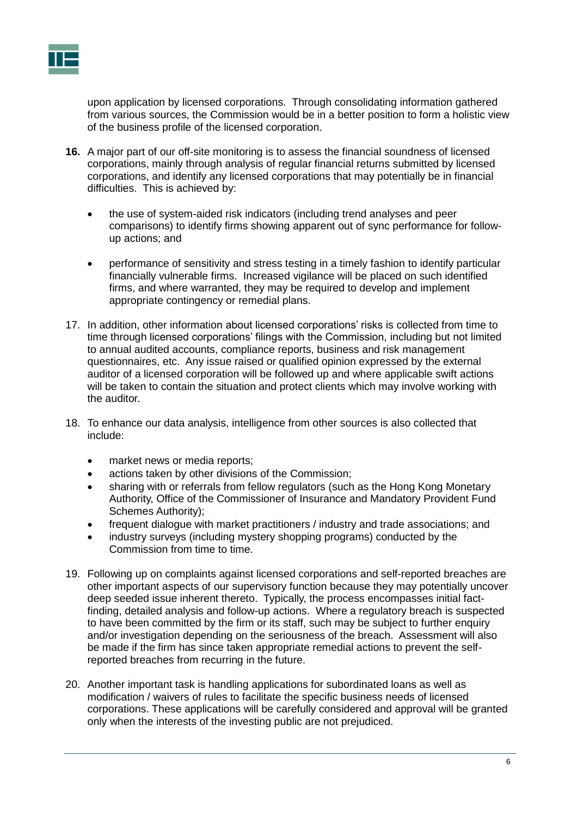

upon application by licensed corporations. Through consolidating information gathered from various sources, the Commission would be in a better position to form a holistic view of the business profile of the licensed corporation.

- **16.** A major part of our off-site monitoring is to assess the financial soundness of licensed corporations, mainly through analysis of regular financial returns submitted by licensed corporations, and identify any licensed corporations that may potentially be in financial difficulties. This is achieved by:
	- the use of system-aided risk indicators (including trend analyses and peer comparisons) to identify firms showing apparent out of sync performance for followup actions; and
	- performance of sensitivity and stress testing in a timely fashion to identify particular financially vulnerable firms. Increased vigilance will be placed on such identified firms, and where warranted, they may be required to develop and implement appropriate contingency or remedial plans.
- 17. In addition, other information about licensed corporations' risks is collected from time to time through licensed corporations' filings with the Commission, including but not limited to annual audited accounts, compliance reports, business and risk management questionnaires, etc. Any issue raised or qualified opinion expressed by the external auditor of a licensed corporation will be followed up and where applicable swift actions will be taken to contain the situation and protect clients which may involve working with the auditor.
- 18. To enhance our data analysis, intelligence from other sources is also collected that include:
	- market news or media reports;
	- actions taken by other divisions of the Commission;
	- sharing with or referrals from fellow regulators (such as the Hong Kong Monetary Authority, Office of the Commissioner of Insurance and Mandatory Provident Fund Schemes Authority);
	- frequent dialogue with market practitioners / industry and trade associations; and
	- industry surveys (including mystery shopping programs) conducted by the Commission from time to time.
- 19. Following up on complaints against licensed corporations and self-reported breaches are other important aspects of our supervisory function because they may potentially uncover deep seeded issue inherent thereto. Typically, the process encompasses initial factfinding, detailed analysis and follow-up actions. Where a regulatory breach is suspected to have been committed by the firm or its staff, such may be subject to further enquiry and/or investigation depending on the seriousness of the breach. Assessment will also be made if the firm has since taken appropriate remedial actions to prevent the selfreported breaches from recurring in the future.
- 20. Another important task is handling applications for subordinated loans as well as modification / waivers of rules to facilitate the specific business needs of licensed corporations. These applications will be carefully considered and approval will be granted only when the interests of the investing public are not prejudiced.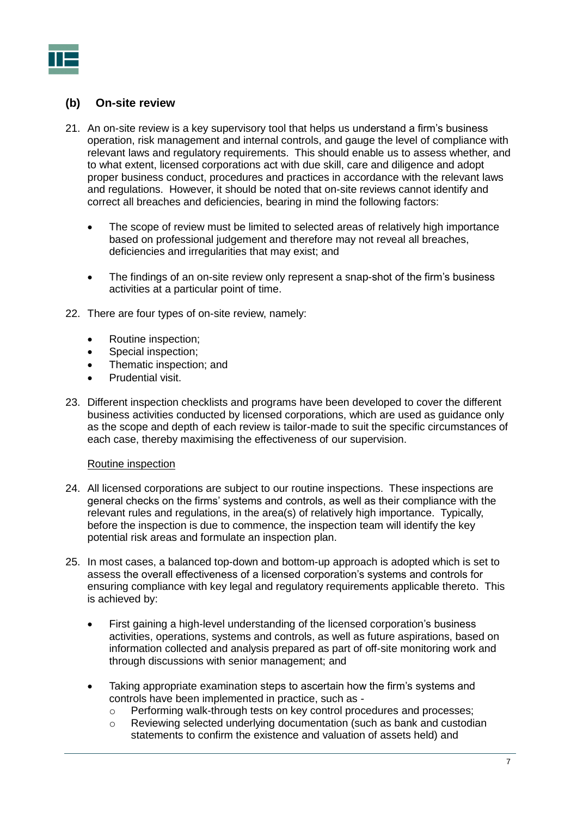

# <span id="page-8-0"></span>**(b) On-site review**

- 21. An on-site review is a key supervisory tool that helps us understand a firm's business operation, risk management and internal controls, and gauge the level of compliance with relevant laws and regulatory requirements. This should enable us to assess whether, and to what extent, licensed corporations act with due skill, care and diligence and adopt proper business conduct, procedures and practices in accordance with the relevant laws and regulations. However, it should be noted that on-site reviews cannot identify and correct all breaches and deficiencies, bearing in mind the following factors:
	- The scope of review must be limited to selected areas of relatively high importance based on professional judgement and therefore may not reveal all breaches, deficiencies and irregularities that may exist; and
	- The findings of an on-site review only represent a snap-shot of the firm's business activities at a particular point of time.
- 22. There are four types of on-site review, namely:
	- Routine inspection;
	- Special inspection;
	- Thematic inspection; and
	- Prudential visit.
- 23. Different inspection checklists and programs have been developed to cover the different business activities conducted by licensed corporations, which are used as guidance only as the scope and depth of each review is tailor-made to suit the specific circumstances of each case, thereby maximising the effectiveness of our supervision.

#### Routine inspection

- 24. All licensed corporations are subject to our routine inspections. These inspections are general checks on the firms' systems and controls, as well as their compliance with the relevant rules and regulations, in the area(s) of relatively high importance. Typically, before the inspection is due to commence, the inspection team will identify the key potential risk areas and formulate an inspection plan.
- 25. In most cases, a balanced top-down and bottom-up approach is adopted which is set to assess the overall effectiveness of a licensed corporation's systems and controls for ensuring compliance with key legal and regulatory requirements applicable thereto. This is achieved by:
	- First gaining a high-level understanding of the licensed corporation's business activities, operations, systems and controls, as well as future aspirations, based on information collected and analysis prepared as part of off-site monitoring work and through discussions with senior management; and
	- Taking appropriate examination steps to ascertain how the firm's systems and controls have been implemented in practice, such as -
		- $\circ$  Performing walk-through tests on key control procedures and processes;
		- o Reviewing selected underlying documentation (such as bank and custodian statements to confirm the existence and valuation of assets held) and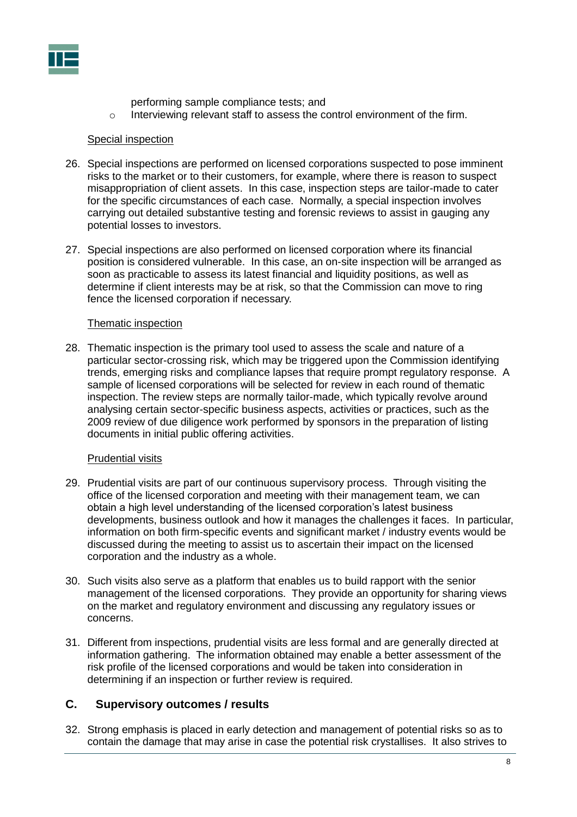

performing sample compliance tests; and

 $\circ$  Interviewing relevant staff to assess the control environment of the firm.

#### Special inspection

- 26. Special inspections are performed on licensed corporations suspected to pose imminent risks to the market or to their customers, for example, where there is reason to suspect misappropriation of client assets. In this case, inspection steps are tailor-made to cater for the specific circumstances of each case. Normally, a special inspection involves carrying out detailed substantive testing and forensic reviews to assist in gauging any potential losses to investors.
- 27. Special inspections are also performed on licensed corporation where its financial position is considered vulnerable. In this case, an on-site inspection will be arranged as soon as practicable to assess its latest financial and liquidity positions, as well as determine if client interests may be at risk, so that the Commission can move to ring fence the licensed corporation if necessary.

#### Thematic inspection

28. Thematic inspection is the primary tool used to assess the scale and nature of a particular sector-crossing risk, which may be triggered upon the Commission identifying trends, emerging risks and compliance lapses that require prompt regulatory response. A sample of licensed corporations will be selected for review in each round of thematic inspection. The review steps are normally tailor-made, which typically revolve around analysing certain sector-specific business aspects, activities or practices, such as the 2009 review of due diligence work performed by sponsors in the preparation of listing documents in initial public offering activities.

#### Prudential visits

- 29. Prudential visits are part of our continuous supervisory process. Through visiting the office of the licensed corporation and meeting with their management team, we can obtain a high level understanding of the licensed corporation's latest business developments, business outlook and how it manages the challenges it faces. In particular, information on both firm-specific events and significant market / industry events would be discussed during the meeting to assist us to ascertain their impact on the licensed corporation and the industry as a whole.
- 30. Such visits also serve as a platform that enables us to build rapport with the senior management of the licensed corporations. They provide an opportunity for sharing views on the market and regulatory environment and discussing any regulatory issues or concerns.
- 31. Different from inspections, prudential visits are less formal and are generally directed at information gathering. The information obtained may enable a better assessment of the risk profile of the licensed corporations and would be taken into consideration in determining if an inspection or further review is required.

## <span id="page-9-0"></span>**C. Supervisory outcomes / results**

32. Strong emphasis is placed in early detection and management of potential risks so as to contain the damage that may arise in case the potential risk crystallises. It also strives to